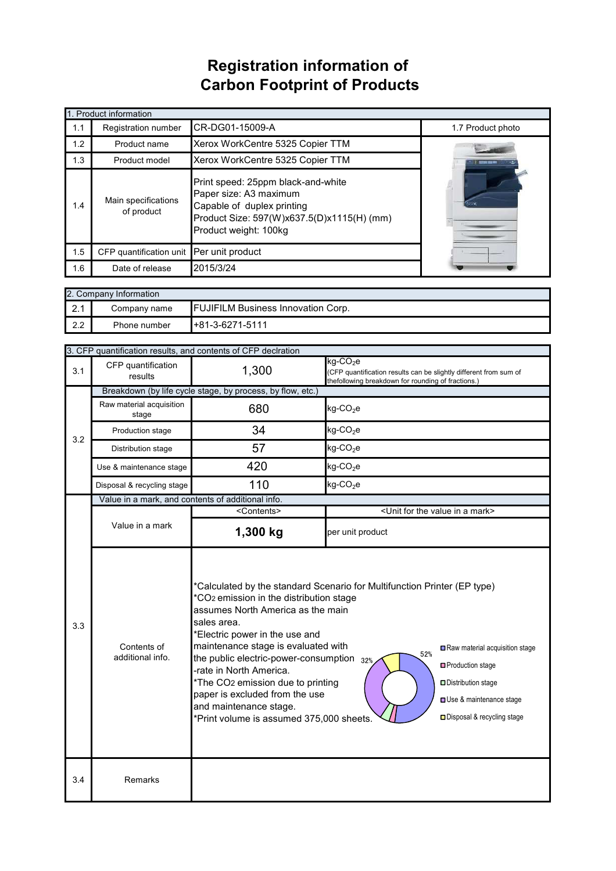## **Registration information of Carbon Footprint of Products**

| 1. Product information |                                                                                                                                                                                                        |                                  |                   |  |  |
|------------------------|--------------------------------------------------------------------------------------------------------------------------------------------------------------------------------------------------------|----------------------------------|-------------------|--|--|
| 1.1                    | Registration number                                                                                                                                                                                    | CR-DG01-15009-A                  | 1.7 Product photo |  |  |
| 1.2                    | Product name                                                                                                                                                                                           | Xerox WorkCentre 5325 Copier TTM |                   |  |  |
| 1.3                    | Product model                                                                                                                                                                                          | Xerox WorkCentre 5325 Copier TTM |                   |  |  |
| 1.4                    | Print speed: 25ppm black-and-white<br>Paper size: A3 maximum<br>Main specifications<br>Capable of duplex printing<br>of product<br>Product Size: 597(W)x637.5(D)x1115(H) (mm)<br>Product weight: 100kg |                                  |                   |  |  |
| 1.5                    | CFP quantification unit                                                                                                                                                                                | Per unit product                 |                   |  |  |
| 1.6                    | Date of release                                                                                                                                                                                        | 2015/3/24                        |                   |  |  |

| 2. Company Information |                                                           |                   |  |
|------------------------|-----------------------------------------------------------|-------------------|--|
| ົດ 4<br>$\mathbf{z}$ . | <b>FUJIFILM Business Innovation Corp.</b><br>Company name |                   |  |
| 2.2                    | Phone number                                              | $+81-3-6271-5111$ |  |

|                                                                                                                                                                                                                                                                                                                                                                                                                                                                                                                                       | 3. CFP quantification results, and contents of CFP declration |                                                                                                                                       |                                                                                                                                                    |                                                         |  |
|---------------------------------------------------------------------------------------------------------------------------------------------------------------------------------------------------------------------------------------------------------------------------------------------------------------------------------------------------------------------------------------------------------------------------------------------------------------------------------------------------------------------------------------|---------------------------------------------------------------|---------------------------------------------------------------------------------------------------------------------------------------|----------------------------------------------------------------------------------------------------------------------------------------------------|---------------------------------------------------------|--|
| 3.1                                                                                                                                                                                                                                                                                                                                                                                                                                                                                                                                   | CFP quantification<br>results                                 | 1,300                                                                                                                                 | $kg$ -CO <sub>2</sub> e<br>(CFP quantification results can be slightly different from sum of<br>thefollowing breakdown for rounding of fractions.) |                                                         |  |
|                                                                                                                                                                                                                                                                                                                                                                                                                                                                                                                                       |                                                               | Breakdown (by life cycle stage, by process, by flow, etc.)                                                                            |                                                                                                                                                    |                                                         |  |
| 3.2                                                                                                                                                                                                                                                                                                                                                                                                                                                                                                                                   | Raw material acquisition<br>stage                             | 680                                                                                                                                   | $kg$ -CO <sub>2</sub> e                                                                                                                            |                                                         |  |
|                                                                                                                                                                                                                                                                                                                                                                                                                                                                                                                                       | Production stage                                              | 34                                                                                                                                    | $kg$ -CO <sub>2</sub> e                                                                                                                            |                                                         |  |
|                                                                                                                                                                                                                                                                                                                                                                                                                                                                                                                                       | Distribution stage                                            | 57                                                                                                                                    | $kg$ -CO <sub>2</sub> e                                                                                                                            |                                                         |  |
|                                                                                                                                                                                                                                                                                                                                                                                                                                                                                                                                       | Use & maintenance stage                                       | 420                                                                                                                                   | $kg$ -CO <sub>2</sub> e                                                                                                                            |                                                         |  |
|                                                                                                                                                                                                                                                                                                                                                                                                                                                                                                                                       | Disposal & recycling stage                                    | 110                                                                                                                                   | $kg$ -CO <sub>2</sub> e                                                                                                                            |                                                         |  |
|                                                                                                                                                                                                                                                                                                                                                                                                                                                                                                                                       | Value in a mark, and contents of additional info.             |                                                                                                                                       |                                                                                                                                                    |                                                         |  |
|                                                                                                                                                                                                                                                                                                                                                                                                                                                                                                                                       |                                                               | <contents></contents>                                                                                                                 |                                                                                                                                                    | <unit a="" for="" in="" mark="" the="" value=""></unit> |  |
|                                                                                                                                                                                                                                                                                                                                                                                                                                                                                                                                       | Value in a mark                                               | 1,300 kg                                                                                                                              | per unit product                                                                                                                                   |                                                         |  |
| *Calculated by the standard Scenario for Multifunction Printer (EP type)<br>*CO <sub>2</sub> emission in the distribution stage<br>assumes North America as the main<br>sales area.<br>3.3<br>*Electric power in the use and<br>maintenance stage is evaluated with<br>Contents of<br>52%<br>additional info.<br>the public electric-power-consumption $32\%$<br>-rate in North America.<br>*The CO2 emission due to printing<br>paper is excluded from the use<br>and maintenance stage.<br>*Print volume is assumed 375,000 sheets. |                                                               | Raw material acquisition stage<br>□ Production stage<br>Distribution stage<br>Use & maintenance stage<br>□ Disposal & recycling stage |                                                                                                                                                    |                                                         |  |
| 3.4                                                                                                                                                                                                                                                                                                                                                                                                                                                                                                                                   | Remarks                                                       |                                                                                                                                       |                                                                                                                                                    |                                                         |  |